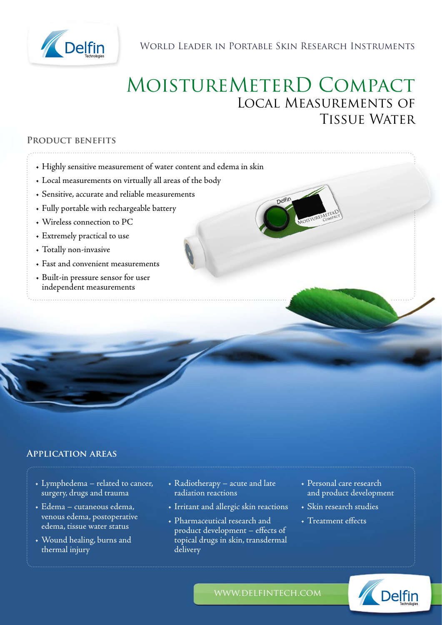

WORLD LEADER IN PORTABLE SKIN RESEARCH INSTRUMENTS

# MoistureMeterD Compact Local Measurements of Tissue Water

Delfin

### **Product benefits**

- Highly sensitive measurement of water content and edema in skin
- Local measurements on virtually all areas of the body
- Sensitive, accurate and reliable measurements
- Fully portable with rechargeable battery
- Wireless connection to PC
- Extremely practical to use
- Totally non-invasive
- Fast and convenient measurements
- Built-in pressure sensor for user independent measurements

## **Application areas**

- Lymphedema related to cancer, surgery, drugs and trauma
- Edema cutaneous edema, venous edema, postoperative edema, tissue water status
- Wound healing, burns and thermal injury
- Radiotherapy acute and late radiation reactions
- Irritant and allergic skin reactions
- Pharmaceutical research and product development – effects of topical drugs in skin, transdermal delivery
- Personal care research and product development
- Skin research studies
- Treatment effects



www.delfintech.com